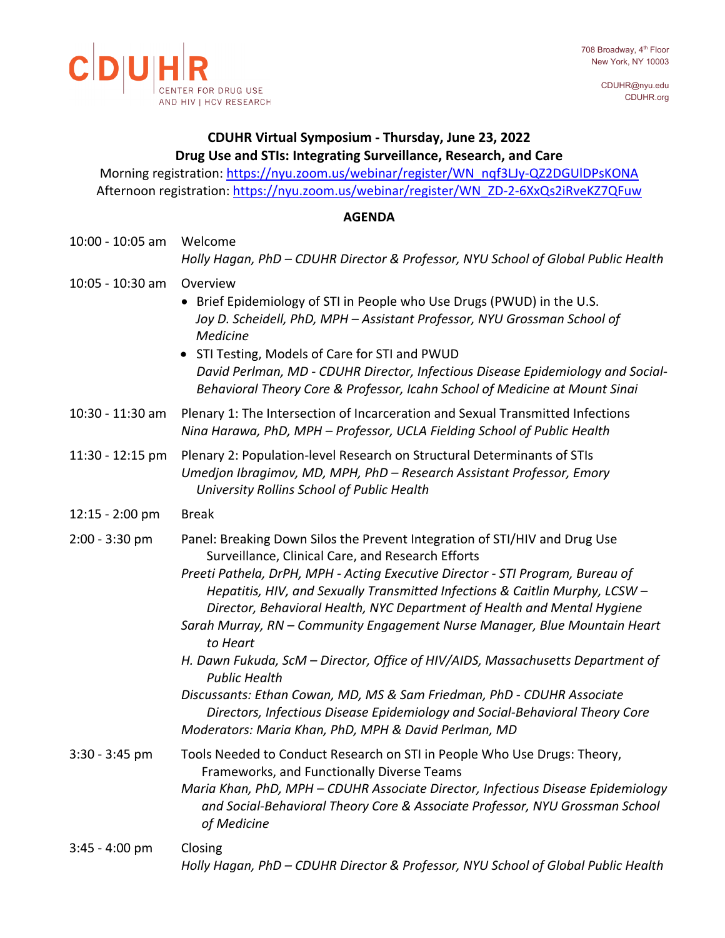CDUHR@nyu.edu CDUHR.org



# **CDUHR Virtual Symposium - Thursday, June 23, 2022 Drug Use and STIs: Integrating Surveillance, Research, and Care**

Morning registration: https://nyu.zoom.us/webinar/register/WN\_nqf3LJy-QZ2DGUIDPsKONA Afternoon registration: [https://nyu.zoom.us/webinar/register/WN\\_ZD-2-6XxQs2iRveKZ7QFuw](https://nyu.zoom.us/webinar/register/WN_ZD-2-6XxQs2iRveKZ7QFuw)

## **AGENDA**

| 10:00 - 10:05 am  | Welcome<br>Holly Hagan, PhD - CDUHR Director & Professor, NYU School of Global Public Health                                                                                                                                                                                                                                                                                                                                                                                                                                                                                                                                                                                                                                                                                                         |
|-------------------|------------------------------------------------------------------------------------------------------------------------------------------------------------------------------------------------------------------------------------------------------------------------------------------------------------------------------------------------------------------------------------------------------------------------------------------------------------------------------------------------------------------------------------------------------------------------------------------------------------------------------------------------------------------------------------------------------------------------------------------------------------------------------------------------------|
| 10:05 - 10:30 am  | Overview<br>• Brief Epidemiology of STI in People who Use Drugs (PWUD) in the U.S.<br>Joy D. Scheidell, PhD, MPH - Assistant Professor, NYU Grossman School of<br>Medicine<br>STI Testing, Models of Care for STI and PWUD<br>David Perlman, MD - CDUHR Director, Infectious Disease Epidemiology and Social-<br>Behavioral Theory Core & Professor, Icahn School of Medicine at Mount Sinai                                                                                                                                                                                                                                                                                                                                                                                                         |
| 10:30 - 11:30 am  | Plenary 1: The Intersection of Incarceration and Sexual Transmitted Infections<br>Nina Harawa, PhD, MPH - Professor, UCLA Fielding School of Public Health                                                                                                                                                                                                                                                                                                                                                                                                                                                                                                                                                                                                                                           |
| 11:30 - 12:15 pm  | Plenary 2: Population-level Research on Structural Determinants of STIs<br>Umedjon Ibragimov, MD, MPH, PhD - Research Assistant Professor, Emory<br>University Rollins School of Public Health                                                                                                                                                                                                                                                                                                                                                                                                                                                                                                                                                                                                       |
| $12:15 - 2:00$ pm | <b>Break</b>                                                                                                                                                                                                                                                                                                                                                                                                                                                                                                                                                                                                                                                                                                                                                                                         |
| $2:00 - 3:30$ pm  | Panel: Breaking Down Silos the Prevent Integration of STI/HIV and Drug Use<br>Surveillance, Clinical Care, and Research Efforts<br>Preeti Pathela, DrPH, MPH - Acting Executive Director - STI Program, Bureau of<br>Hepatitis, HIV, and Sexually Transmitted Infections & Caitlin Murphy, LCSW -<br>Director, Behavioral Health, NYC Department of Health and Mental Hygiene<br>Sarah Murray, RN - Community Engagement Nurse Manager, Blue Mountain Heart<br>to Heart<br>H. Dawn Fukuda, ScM - Director, Office of HIV/AIDS, Massachusetts Department of<br><b>Public Health</b><br>Discussants: Ethan Cowan, MD, MS & Sam Friedman, PhD - CDUHR Associate<br>Directors, Infectious Disease Epidemiology and Social-Behavioral Theory Core<br>Moderators: Maria Khan, PhD, MPH & David Perlman, MD |
| $3:30 - 3:45$ pm  | Tools Needed to Conduct Research on STI in People Who Use Drugs: Theory,<br>Frameworks, and Functionally Diverse Teams<br>Maria Khan, PhD, MPH - CDUHR Associate Director, Infectious Disease Epidemiology<br>and Social-Behavioral Theory Core & Associate Professor, NYU Grossman School<br>of Medicine                                                                                                                                                                                                                                                                                                                                                                                                                                                                                            |
| $3:45 - 4:00$ pm  | Closing<br>Holly Hagan, PhD - CDUHR Director & Professor, NYU School of Global Public Health                                                                                                                                                                                                                                                                                                                                                                                                                                                                                                                                                                                                                                                                                                         |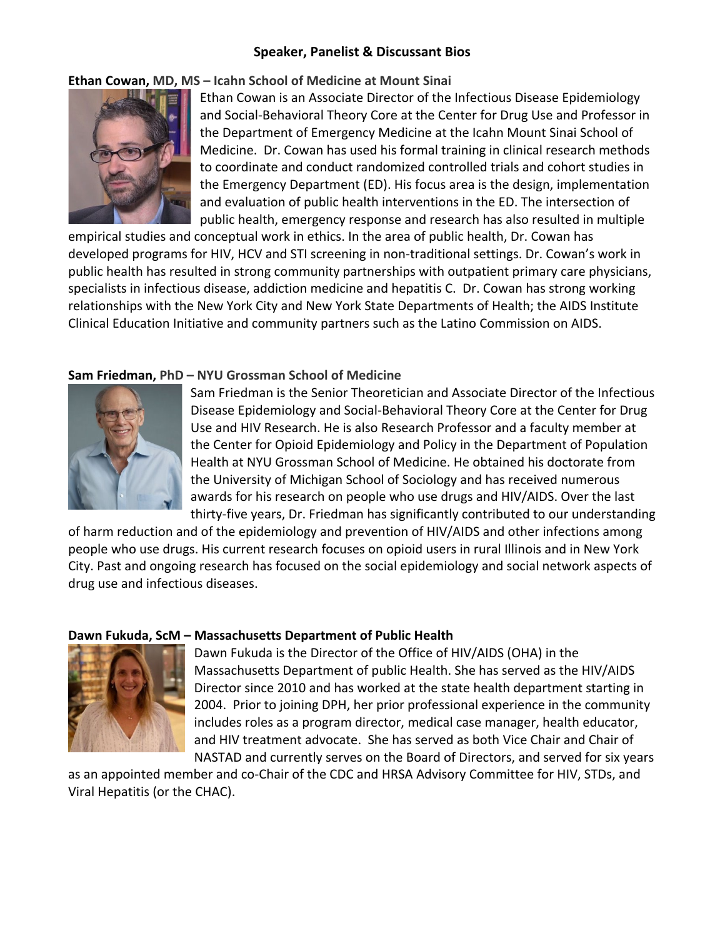## **Speaker, Panelist & Discussant Bios**

**Ethan Cowan, MD, MS – Icahn School of Medicine at Mount Sinai**



Ethan Cowan is an Associate Director of the Infectious Disease Epidemiology and Social-Behavioral Theory Core at the Center for Drug Use and Professor in the Department of Emergency Medicine at the Icahn Mount Sinai School of Medicine. Dr. Cowan has used his formal training in clinical research methods to coordinate and conduct randomized controlled trials and cohort studies in the Emergency Department (ED). His focus area is the design, implementation and evaluation of public health interventions in the ED. The intersection of public health, emergency response and research has also resulted in multiple

empirical studies and conceptual work in ethics. In the area of public health, Dr. Cowan has developed programs for HIV, HCV and STI screening in non-traditional settings. Dr. Cowan's work in public health has resulted in strong community partnerships with outpatient primary care physicians, specialists in infectious disease, addiction medicine and hepatitis C. Dr. Cowan has strong working relationships with the New York City and New York State Departments of Health; the AIDS Institute Clinical Education Initiative and community partners such as the Latino Commission on AIDS.

# **Sam Friedman, PhD – NYU Grossman School of Medicine**



Sam Friedman is the Senior Theoretician and Associate Director of the Infectious Disease Epidemiology and Social-Behavioral Theory Core at the Center for Drug Use and HIV Research. He is also Research Professor and a faculty member at the Center for Opioid Epidemiology and Policy in the Department of Population Health at NYU Grossman School of Medicine. He obtained his doctorate from the University of Michigan School of Sociology and has received numerous awards for his research on people who use drugs and HIV/AIDS. Over the last thirty-five years, Dr. Friedman has significantly contributed to our understanding

of harm reduction and of the epidemiology and prevention of HIV/AIDS and other infections among people who use drugs. His current research focuses on opioid users in rural Illinois and in New York City. Past and ongoing research has focused on the social epidemiology and social network aspects of drug use and infectious diseases.

## **Dawn Fukuda, ScM – Massachusetts Department of Public Health**



Dawn Fukuda is the Director of the Office of HIV/AIDS (OHA) in the Massachusetts Department of public Health. She has served as the HIV/AIDS Director since 2010 and has worked at the state health department starting in 2004. Prior to joining DPH, her prior professional experience in the community includes roles as a program director, medical case manager, health educator, and HIV treatment advocate. She has served as both Vice Chair and Chair of NASTAD and currently serves on the Board of Directors, and served for six years

as an appointed member and co-Chair of the CDC and HRSA Advisory Committee for HIV, STDs, and Viral Hepatitis (or the CHAC).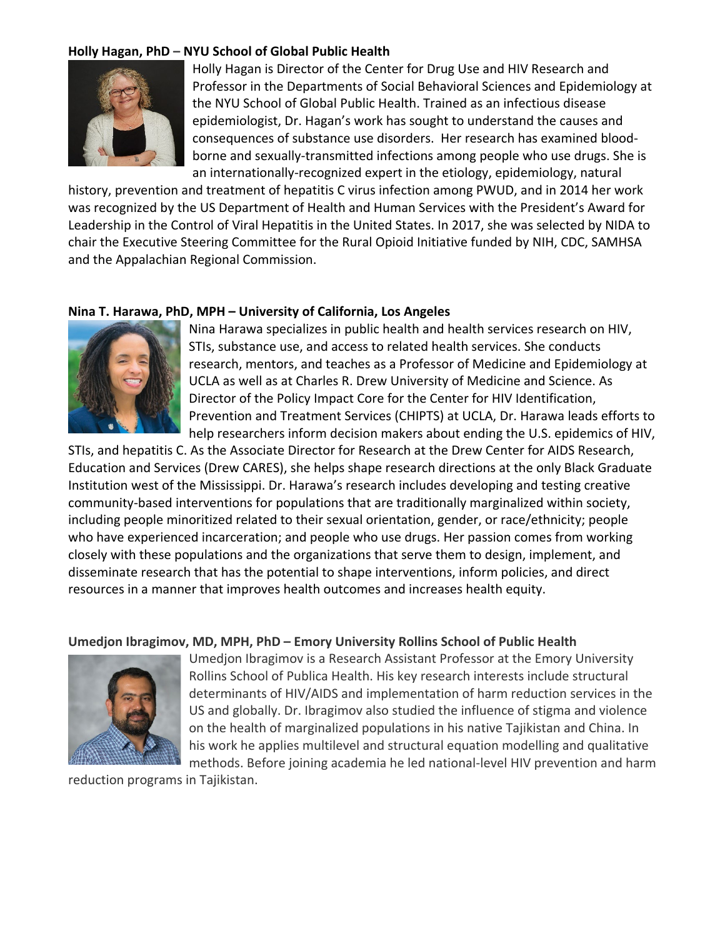## **Holly Hagan, PhD – NYU School of Global Public Health**



Holly Hagan is Director of the Center for Drug Use and HIV Research and Professor in the Departments of Social Behavioral Sciences and Epidemiology at the NYU School of Global Public Health. Trained as an infectious disease epidemiologist, Dr. Hagan's work has sought to understand the causes and consequences of substance use disorders. Her research has examined bloodborne and sexually-transmitted infections among people who use drugs. She is an internationally-recognized expert in the etiology, epidemiology, natural

history, prevention and treatment of hepatitis C virus infection among PWUD, and in 2014 her work was recognized by the US Department of Health and Human Services with the President's Award for Leadership in the Control of Viral Hepatitis in the United States. In 2017, she was selected by NIDA to chair the Executive Steering Committee for the Rural Opioid Initiative funded by NIH, CDC, SAMHSA and the Appalachian Regional Commission.

## **Nina T. Harawa, PhD, MPH – University of California, Los Angeles**



Nina Harawa specializes in public health and health services research on HIV, STIs, substance use, and access to related health services. She conducts research, mentors, and teaches as a Professor of Medicine and Epidemiology at UCLA as well as at Charles R. Drew University of Medicine and Science. As Director of the Policy Impact Core for the Center for HIV Identification, Prevention and Treatment Services (CHIPTS) at UCLA, Dr. Harawa leads efforts to help researchers inform decision makers about ending the U.S. epidemics of HIV,

STIs, and hepatitis C. As the Associate Director for Research at the Drew Center for AIDS Research, Education and Services (Drew CARES), she helps shape research directions at the only Black Graduate Institution west of the Mississippi. Dr. Harawa's research includes developing and testing creative community-based interventions for populations that are traditionally marginalized within society, including people minoritized related to their sexual orientation, gender, or race/ethnicity; people who have experienced incarceration; and people who use drugs. Her passion comes from working closely with these populations and the organizations that serve them to design, implement, and disseminate research that has the potential to shape interventions, inform policies, and direct resources in a manner that improves health outcomes and increases health equity.

#### **Umedjon Ibragimov, MD, MPH, PhD – Emory University Rollins School of Public Health**



Umedjon Ibragimov is a Research Assistant Professor at the Emory University Rollins School of Publica Health. His key research interests include structural determinants of HIV/AIDS and implementation of harm reduction services in the US and globally. Dr. Ibragimov also studied the influence of stigma and violence on the health of marginalized populations in his native Tajikistan and China. In his work he applies multilevel and structural equation modelling and qualitative methods. Before joining academia he led national-level HIV prevention and harm

reduction programs in Tajikistan.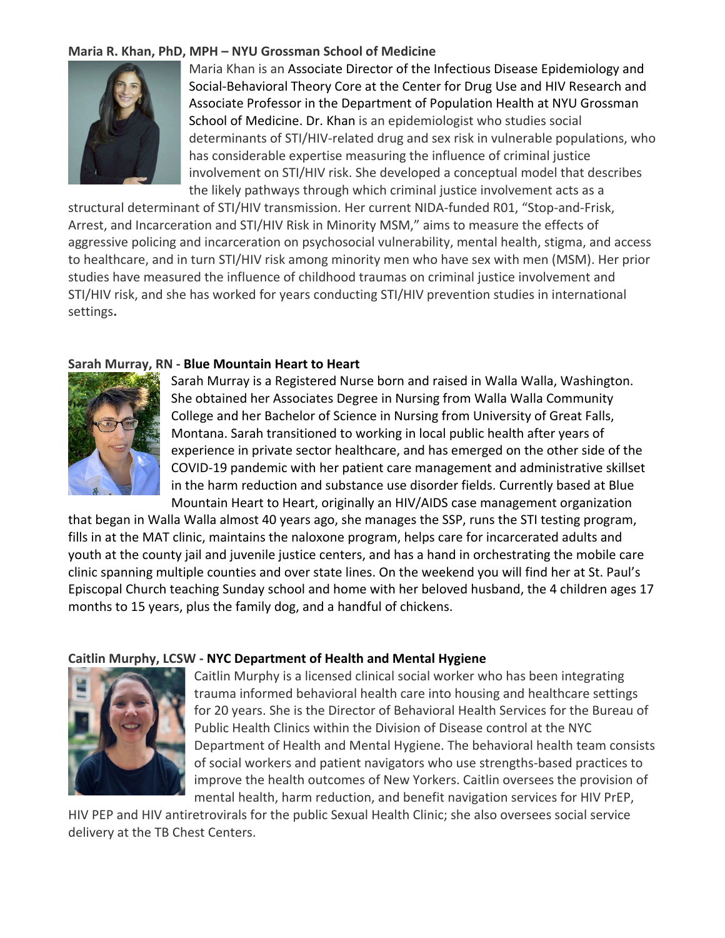## **Maria R. Khan, PhD, MPH – NYU Grossman School of Medicine**



Maria Khan is an Associate Director of the Infectious Disease Epidemiology and Social-Behavioral Theory Core at the Center for Drug Use and HIV Research and Associate Professor in the Department of Population Health at NYU Grossman School of Medicine. Dr. Khan is an epidemiologist who studies social determinants of STI/HIV-related drug and sex risk in vulnerable populations, who has considerable expertise measuring the influence of criminal justice involvement on STI/HIV risk. She developed a conceptual model that describes the likely pathways through which criminal justice involvement acts as a

structural determinant of STI/HIV transmission. Her current NIDA-funded R01, "Stop-and-Frisk, Arrest, and Incarceration and STI/HIV Risk in Minority MSM," aims to measure the effects of aggressive policing and incarceration on psychosocial vulnerability, mental health, stigma, and access to healthcare, and in turn STI/HIV risk among minority men who have sex with men (MSM). Her prior studies have measured the influence of childhood traumas on criminal justice involvement and STI/HIV risk, and she has worked for years conducting STI/HIV prevention studies in international settings**.**

### **Sarah Murray, RN - Blue Mountain Heart to Heart**



Sarah Murray is a Registered Nurse born and raised in Walla Walla, Washington. She obtained her Associates Degree in Nursing from Walla Walla Community College and her Bachelor of Science in Nursing from University of Great Falls, Montana. Sarah transitioned to working in local public health after years of experience in private sector healthcare, and has emerged on the other side of the COVID-19 pandemic with her patient care management and administrative skillset in the harm reduction and substance use disorder fields. Currently based at Blue Mountain Heart to Heart, originally an HIV/AIDS case management organization

that began in Walla Walla almost 40 years ago, she manages the SSP, runs the STI testing program, fills in at the MAT clinic, maintains the naloxone program, helps care for incarcerated adults and youth at the county jail and juvenile justice centers, and has a hand in orchestrating the mobile care clinic spanning multiple counties and over state lines. On the weekend you will find her at St. Paul's Episcopal Church teaching Sunday school and home with her beloved husband, the 4 children ages 17 months to 15 years, plus the family dog, and a handful of chickens.

#### **Caitlin Murphy, LCSW - NYC Department of Health and Mental Hygiene**



Caitlin Murphy is a licensed clinical social worker who has been integrating trauma informed behavioral health care into housing and healthcare settings for 20 years. She is the Director of Behavioral Health Services for the Bureau of Public Health Clinics within the Division of Disease control at the NYC Department of Health and Mental Hygiene. The behavioral health team consists of social workers and patient navigators who use strengths-based practices to improve the health outcomes of New Yorkers. Caitlin oversees the provision of mental health, harm reduction, and benefit navigation services for HIV PrEP,

HIV PEP and HIV antiretrovirals for the public Sexual Health Clinic; she also oversees social service delivery at the TB Chest Centers.